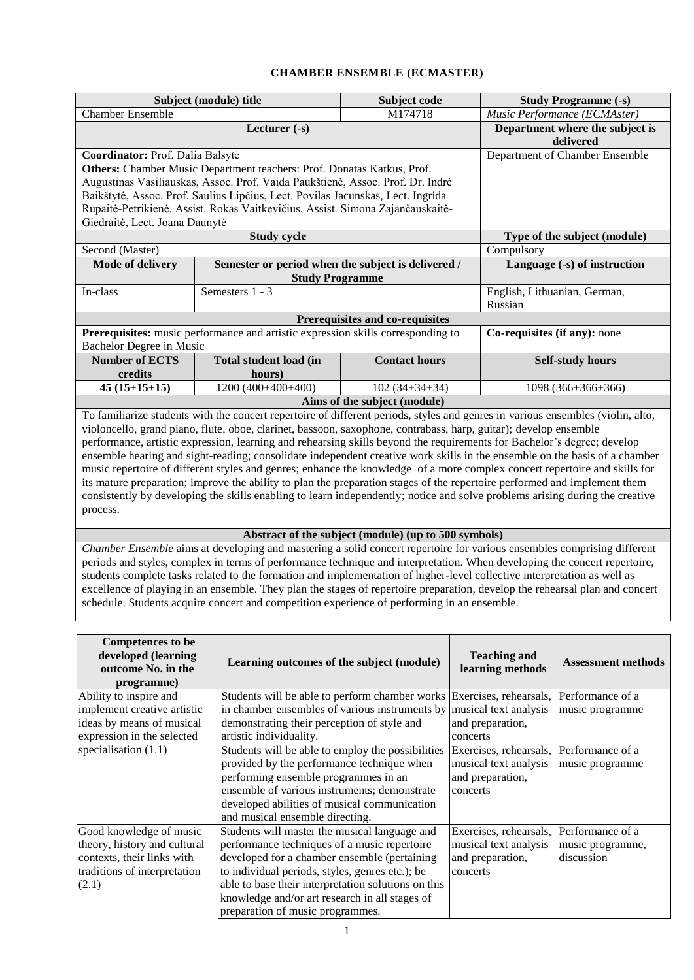## **CHAMBER ENSEMBLE (ECMASTER)**

|                                                                                                                              | Subject (module) title                                                                                           | <b>Study Programme (-s)</b>                          |                                                                                                                                 |  |  |  |  |  |
|------------------------------------------------------------------------------------------------------------------------------|------------------------------------------------------------------------------------------------------------------|------------------------------------------------------|---------------------------------------------------------------------------------------------------------------------------------|--|--|--|--|--|
| <b>Chamber Ensemble</b>                                                                                                      |                                                                                                                  | Music Performance (ECMAster)                         |                                                                                                                                 |  |  |  |  |  |
|                                                                                                                              | Lecturer $(-s)$                                                                                                  | Department where the subject is                      |                                                                                                                                 |  |  |  |  |  |
|                                                                                                                              |                                                                                                                  | delivered                                            |                                                                                                                                 |  |  |  |  |  |
| Coordinator: Prof. Dalia Balsytė                                                                                             | Department of Chamber Ensemble                                                                                   |                                                      |                                                                                                                                 |  |  |  |  |  |
|                                                                                                                              | Others: Chamber Music Department teachers: Prof. Donatas Katkus, Prof.                                           |                                                      |                                                                                                                                 |  |  |  |  |  |
|                                                                                                                              | Augustinas Vasiliauskas, Assoc. Prof. Vaida Paukštienė, Assoc. Prof. Dr. Indrė                                   |                                                      |                                                                                                                                 |  |  |  |  |  |
|                                                                                                                              | Baikštytė, Assoc. Prof. Saulius Lipčius, Lect. Povilas Jacunskas, Lect. Ingrida                                  |                                                      |                                                                                                                                 |  |  |  |  |  |
|                                                                                                                              | Rupaitė-Petrikienė, Assist. Rokas Vaitkevičius, Assist. Simona Zajančauskaitė-                                   |                                                      |                                                                                                                                 |  |  |  |  |  |
| Giedraitė, Lect. Joana Daunytė                                                                                               |                                                                                                                  |                                                      |                                                                                                                                 |  |  |  |  |  |
|                                                                                                                              | <b>Study cycle</b>                                                                                               |                                                      | Type of the subject (module)                                                                                                    |  |  |  |  |  |
| Second (Master)                                                                                                              |                                                                                                                  |                                                      | Compulsory                                                                                                                      |  |  |  |  |  |
| <b>Mode of delivery</b>                                                                                                      | Semester or period when the subject is delivered /                                                               |                                                      | Language (-s) of instruction                                                                                                    |  |  |  |  |  |
|                                                                                                                              | <b>Study Programme</b>                                                                                           |                                                      |                                                                                                                                 |  |  |  |  |  |
| In-class                                                                                                                     | Semesters 1 - 3                                                                                                  | English, Lithuanian, German,                         |                                                                                                                                 |  |  |  |  |  |
|                                                                                                                              |                                                                                                                  | Russian                                              |                                                                                                                                 |  |  |  |  |  |
| Prerequisites and co-requisites                                                                                              |                                                                                                                  |                                                      |                                                                                                                                 |  |  |  |  |  |
|                                                                                                                              | Prerequisites: music performance and artistic expression skills corresponding to                                 | Co-requisites (if any): none                         |                                                                                                                                 |  |  |  |  |  |
| Bachelor Degree in Music                                                                                                     |                                                                                                                  |                                                      |                                                                                                                                 |  |  |  |  |  |
| <b>Number of ECTS</b>                                                                                                        | <b>Self-study hours</b>                                                                                          |                                                      |                                                                                                                                 |  |  |  |  |  |
| credits                                                                                                                      | hours)                                                                                                           |                                                      |                                                                                                                                 |  |  |  |  |  |
| $45(15+15+15)$                                                                                                               | 1200 (400+400+400)                                                                                               | $102(34+34+34)$                                      | 1098 (366+366+366)                                                                                                              |  |  |  |  |  |
|                                                                                                                              |                                                                                                                  | Aims of the subject (module)                         |                                                                                                                                 |  |  |  |  |  |
|                                                                                                                              |                                                                                                                  |                                                      | To familiarize students with the concert repertoire of different periods, styles and genres in various ensembles (violin, alto, |  |  |  |  |  |
|                                                                                                                              | violoncello, grand piano, flute, oboe, clarinet, bassoon, saxophone, contrabass, harp, guitar); develop ensemble |                                                      |                                                                                                                                 |  |  |  |  |  |
|                                                                                                                              |                                                                                                                  |                                                      | performance, artistic expression, learning and rehearsing skills beyond the requirements for Bachelor's degree; develop         |  |  |  |  |  |
|                                                                                                                              |                                                                                                                  |                                                      | ensemble hearing and sight-reading; consolidate independent creative work skills in the ensemble on the basis of a chamber      |  |  |  |  |  |
|                                                                                                                              |                                                                                                                  |                                                      | music repertoire of different styles and genres; enhance the knowledge of a more complex concert repertoire and skills for      |  |  |  |  |  |
| its mature preparation; improve the ability to plan the preparation stages of the repertoire performed and implement them    |                                                                                                                  |                                                      |                                                                                                                                 |  |  |  |  |  |
| consistently by developing the skills enabling to learn independently; notice and solve problems arising during the creative |                                                                                                                  |                                                      |                                                                                                                                 |  |  |  |  |  |
| process.                                                                                                                     |                                                                                                                  |                                                      |                                                                                                                                 |  |  |  |  |  |
|                                                                                                                              |                                                                                                                  |                                                      |                                                                                                                                 |  |  |  |  |  |
|                                                                                                                              |                                                                                                                  | Abstract of the subject (module) (up to 500 symbols) |                                                                                                                                 |  |  |  |  |  |
|                                                                                                                              |                                                                                                                  |                                                      | Chamber Ensemble aims at developing and mastering a solid concert repertoire for various ensembles comprising different         |  |  |  |  |  |
|                                                                                                                              |                                                                                                                  |                                                      | periods and styles, complex in terms of performance technique and interpretation. When developing the concert repertoire,       |  |  |  |  |  |

students complete tasks related to the formation and implementation of higher-level collective interpretation as well as excellence of playing in an ensemble. They plan the stages of repertoire preparation, develop the rehearsal plan and concert schedule. Students acquire concert and competition experience of performing in an ensemble.

| <b>Competences to be</b><br>developed (learning<br>outcome No. in the<br>programme)                                            | Learning outcomes of the subject (module)                                                                                                                                                                                                                                                                                                      | <b>Teaching and</b><br>learning methods                                         | <b>Assessment methods</b>                          |
|--------------------------------------------------------------------------------------------------------------------------------|------------------------------------------------------------------------------------------------------------------------------------------------------------------------------------------------------------------------------------------------------------------------------------------------------------------------------------------------|---------------------------------------------------------------------------------|----------------------------------------------------|
| Ability to inspire and                                                                                                         | Students will be able to perform chamber works Exercises, rehearsals,                                                                                                                                                                                                                                                                          |                                                                                 | Performance of a                                   |
| implement creative artistic<br>ideas by means of musical<br>expression in the selected                                         | in chamber ensembles of various instruments by musical text analysis<br>demonstrating their perception of style and<br>artistic individuality.                                                                                                                                                                                                 | and preparation,<br>concerts                                                    | music programme                                    |
| specialisation $(1.1)$                                                                                                         | Students will be able to employ the possibilities<br>provided by the performance technique when<br>performing ensemble programmes in an<br>ensemble of various instruments; demonstrate<br>developed abilities of musical communication<br>and musical ensemble directing.                                                                     | Exercises, rehearsals,<br>musical text analysis<br>and preparation,<br>concerts | Performance of a<br>music programme                |
| Good knowledge of music<br>theory, history and cultural<br>contexts, their links with<br>traditions of interpretation<br>(2.1) | Students will master the musical language and<br>performance techniques of a music repertoire<br>developed for a chamber ensemble (pertaining)<br>to individual periods, styles, genres etc.); be<br>able to base their interpretation solutions on this<br>knowledge and/or art research in all stages of<br>preparation of music programmes. | Exercises, rehearsals,<br>musical text analysis<br>and preparation,<br>concerts | Performance of a<br>music programme,<br>discussion |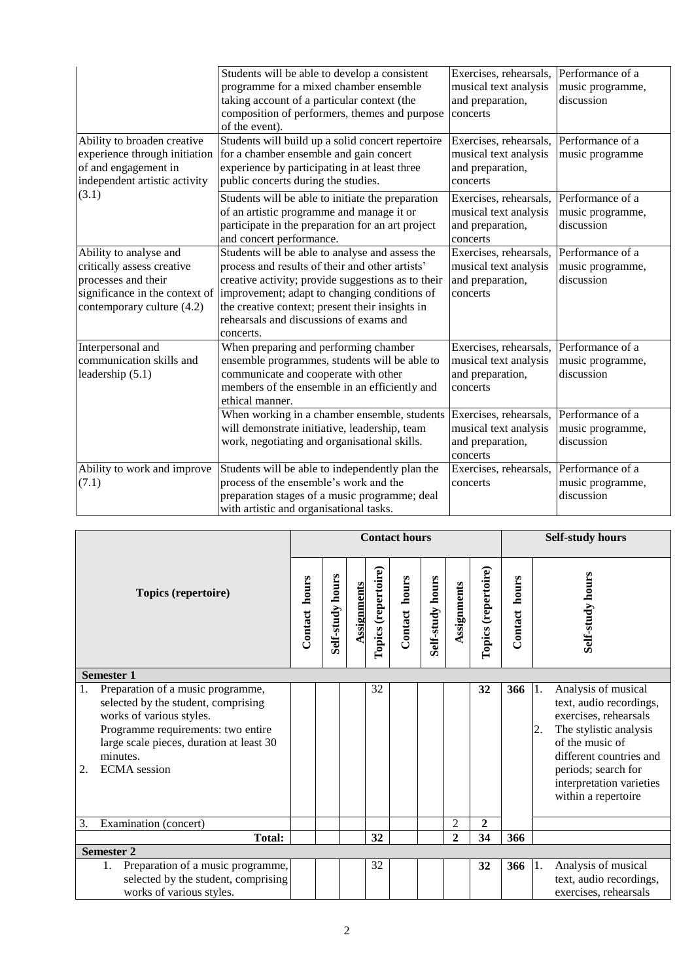| Ability to broaden creative<br>experience through initiation<br>of and engagement in<br>independent artistic activity | Students will be able to develop a consistent<br>programme for a mixed chamber ensemble<br>taking account of a particular context (the<br>composition of performers, themes and purpose<br>of the event).<br>Students will build up a solid concert repertoire<br>for a chamber ensemble and gain concert<br>experience by participating in at least three<br>public concerts during the studies. | Exercises, rehearsals,<br>musical text analysis<br>and preparation,<br>concerts<br>Exercises, rehearsals,<br>musical text analysis<br>and preparation,<br>concerts | Performance of a<br>music programme,<br>discussion<br>Performance of a<br>music programme |
|-----------------------------------------------------------------------------------------------------------------------|---------------------------------------------------------------------------------------------------------------------------------------------------------------------------------------------------------------------------------------------------------------------------------------------------------------------------------------------------------------------------------------------------|--------------------------------------------------------------------------------------------------------------------------------------------------------------------|-------------------------------------------------------------------------------------------|
| (3.1)                                                                                                                 | Students will be able to initiate the preparation<br>of an artistic programme and manage it or<br>participate in the preparation for an art project<br>and concert performance.                                                                                                                                                                                                                   | Exercises, rehearsals,<br>musical text analysis<br>and preparation,<br>concerts                                                                                    | Performance of a<br>music programme,<br>discussion                                        |
| Ability to analyse and<br>critically assess creative<br>processes and their<br>contemporary culture (4.2)             | Students will be able to analyse and assess the<br>process and results of their and other artists'<br>creative activity; provide suggestions as to their<br>significance in the context of improvement; adapt to changing conditions of<br>the creative context; present their insights in<br>rehearsals and discussions of exams and<br>concerts.                                                | Exercises, rehearsals,<br>musical text analysis<br>and preparation,<br>concerts                                                                                    | Performance of a<br>music programme,<br>discussion                                        |
| Interpersonal and<br>communication skills and<br>leadership $(5.1)$                                                   | When preparing and performing chamber<br>ensemble programmes, students will be able to<br>communicate and cooperate with other<br>members of the ensemble in an efficiently and<br>ethical manner.                                                                                                                                                                                                | Exercises, rehearsals,<br>musical text analysis<br>and preparation,<br>concerts                                                                                    | Performance of a<br>music programme,<br>discussion                                        |
|                                                                                                                       | When working in a chamber ensemble, students<br>will demonstrate initiative, leadership, team<br>work, negotiating and organisational skills.                                                                                                                                                                                                                                                     | Exercises, rehearsals,<br>musical text analysis<br>and preparation,<br>concerts                                                                                    | Performance of a<br>music programme,<br>discussion                                        |
| Ability to work and improve<br>(7.1)                                                                                  | Students will be able to independently plan the<br>process of the ensemble's work and the<br>preparation stages of a music programme; deal<br>with artistic and organisational tasks.                                                                                                                                                                                                             | Exercises, rehearsals,<br>concerts                                                                                                                                 | Performance of a<br>music programme,<br>discussion                                        |

| Topics (repertoire)                                                                                                                                                                                                                   |                                                                                                            | <b>Contact hours</b> |                  |             |                     |               |                  |                |                     | <b>Self-study hours</b> |          |                                                                                                                                                                                                                           |
|---------------------------------------------------------------------------------------------------------------------------------------------------------------------------------------------------------------------------------------|------------------------------------------------------------------------------------------------------------|----------------------|------------------|-------------|---------------------|---------------|------------------|----------------|---------------------|-------------------------|----------|---------------------------------------------------------------------------------------------------------------------------------------------------------------------------------------------------------------------------|
|                                                                                                                                                                                                                                       |                                                                                                            | hours<br>Contact     | Self-study hours | Assignments | Topics (repertoire) | Contact hours | Self-study hours | Assignments    | Topics (repertoire) | hours<br>Contact        |          | Self-study hours                                                                                                                                                                                                          |
|                                                                                                                                                                                                                                       | <b>Semester 1</b>                                                                                          |                      |                  |             |                     |               |                  |                |                     |                         |          |                                                                                                                                                                                                                           |
| Preparation of a music programme,<br>1.<br>selected by the student, comprising<br>works of various styles.<br>Programme requirements: two entire<br>large scale pieces, duration at least 30<br>minutes.<br><b>ECMA</b> session<br>2. |                                                                                                            |                      |                  |             | 32                  |               |                  |                | 32                  | 366                     | 1.<br>2. | Analysis of musical<br>text, audio recordings,<br>exercises, rehearsals<br>The stylistic analysis<br>of the music of<br>different countries and<br>periods; search for<br>interpretation varieties<br>within a repertoire |
| Examination (concert)<br>3.                                                                                                                                                                                                           |                                                                                                            |                      |                  |             |                     |               |                  | 2              | $\boldsymbol{2}$    |                         |          |                                                                                                                                                                                                                           |
| <b>Total:</b>                                                                                                                                                                                                                         |                                                                                                            |                      |                  |             | 32                  |               |                  | $\overline{2}$ | 34                  | 366                     |          |                                                                                                                                                                                                                           |
| <b>Semester 2</b>                                                                                                                                                                                                                     |                                                                                                            |                      |                  |             |                     |               |                  |                |                     |                         |          |                                                                                                                                                                                                                           |
|                                                                                                                                                                                                                                       | Preparation of a music programme,<br>1.<br>selected by the student, comprising<br>works of various styles. |                      |                  |             | 32                  |               |                  |                | 32                  | 366                     | 1.       | Analysis of musical<br>text, audio recordings,<br>exercises, rehearsals                                                                                                                                                   |